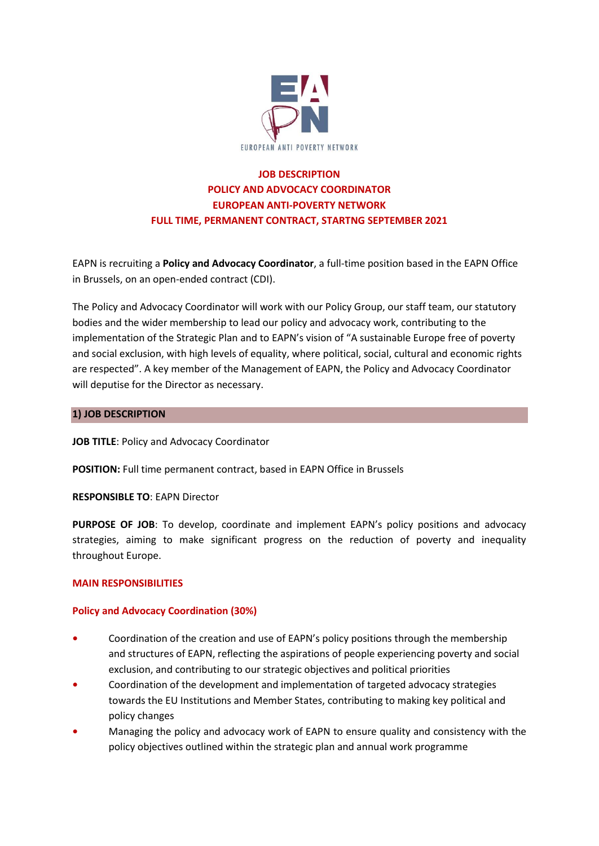

# **JOB DESCRIPTION POLICY AND ADVOCACY COORDINATOR EUROPEAN ANTI-POVERTY NETWORK FULL TIME, PERMANENT CONTRACT, STARTNG SEPTEMBER 2021**

EAPN is recruiting a **Policy and Advocacy Coordinator**, a full-time position based in the EAPN Office in Brussels, on an open-ended contract (CDI).

The Policy and Advocacy Coordinator will work with our Policy Group, our staff team, our statutory bodies and the wider membership to lead our policy and advocacy work, contributing to the implementation of the Strategic Plan and to EAPN's vision of "A sustainable Europe free of poverty and social exclusion, with high levels of equality, where political, social, cultural and economic rights are respected". A key member of the Management of EAPN, the Policy and Advocacy Coordinator will deputise for the Director as necessary.

### **1) JOB DESCRIPTION**

**JOB TITLE: Policy and Advocacy Coordinator** 

**POSITION:** Full time permanent contract, based in EAPN Office in Brussels

**RESPONSIBLE TO**: EAPN Director

**PURPOSE OF JOB**: To develop, coordinate and implement EAPN's policy positions and advocacy strategies, aiming to make significant progress on the reduction of poverty and inequality throughout Europe.

# **MAIN RESPONSIBILITIES**

# **Policy and Advocacy Coordination (30%)**

- **•** Coordination of the creation and use of EAPN's policy positions through the membership and structures of EAPN, reflecting the aspirations of people experiencing poverty and social exclusion, and contributing to our strategic objectives and political priorities
- **•** Coordination of the development and implementation of targeted advocacy strategies towards the EU Institutions and Member States, contributing to making key political and policy changes
- **•** Managing the policy and advocacy work of EAPN to ensure quality and consistency with the policy objectives outlined within the strategic plan and annual work programme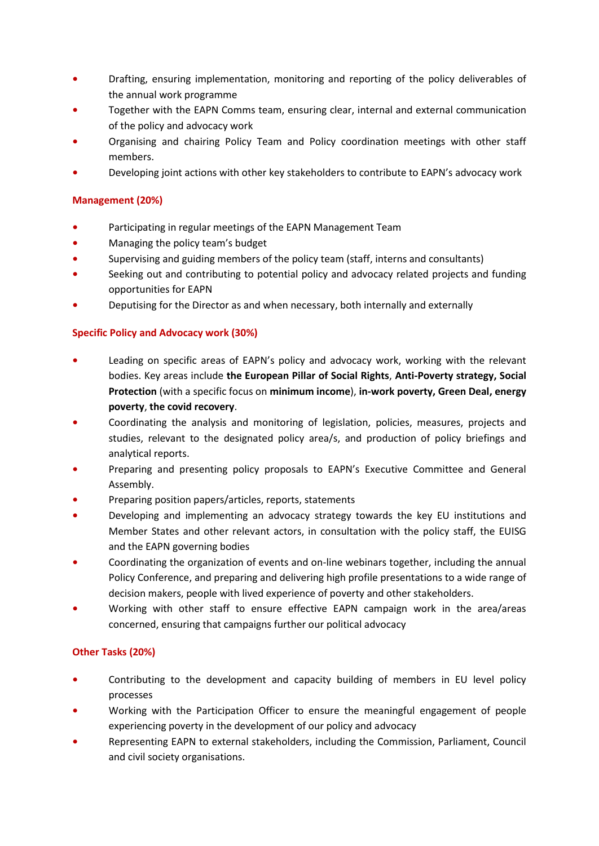- **•••** Drafting, ensuring implementation, monitoring and reporting of the policy deliverables of the annual work programme
- **•** Together with the EAPN Comms team, ensuring clear, internal and external communication of the policy and advocacy work
- **•** Organising and chairing Policy Team and Policy coordination meetings with other staff members.
- **•** Developing joint actions with other key stakeholders to contribute to EAPN's advocacy work

# **Management (20%)**

- **•** Participating in regular meetings of the EAPN Management Team
- **•** Managing the policy team's budget
- **•** Supervising and guiding members of the policy team (staff, interns and consultants)
- **•** Seeking out and contributing to potential policy and advocacy related projects and funding opportunities for EAPN
- **•** Deputising for the Director as and when necessary, both internally and externally

# **Specific Policy and Advocacy work (30%)**

- **•** Leading on specific areas of EAPN's policy and advocacy work, working with the relevant bodies. Key areas include **the European Pillar of Social Rights**, **Anti-Poverty strategy, Social Protection** (with a specific focus on **minimum income**), **in-work poverty, Green Deal, energy poverty**, **the covid recovery**.
- **•** Coordinating the analysis and monitoring of legislation, policies, measures, projects and studies, relevant to the designated policy area/s, and production of policy briefings and analytical reports.
- **•** Preparing and presenting policy proposals to EAPN's Executive Committee and General Assembly.
- **•** Preparing position papers/articles, reports, statements
- **•** Developing and implementing an advocacy strategy towards the key EU institutions and Member States and other relevant actors, in consultation with the policy staff, the EUISG and the EAPN governing bodies
- **•** Coordinating the organization of events and on-line webinars together, including the annual Policy Conference, and preparing and delivering high profile presentations to a wide range of decision makers, people with lived experience of poverty and other stakeholders.
- **•** Working with other staff to ensure effective EAPN campaign work in the area/areas concerned, ensuring that campaigns further our political advocacy

# **Other Tasks (20%)**

- **•** Contributing to the development and capacity building of members in EU level policy processes
- **•** Working with the Participation Officer to ensure the meaningful engagement of people experiencing poverty in the development of our policy and advocacy
- **•** Representing EAPN to external stakeholders, including the Commission, Parliament, Council and civil society organisations.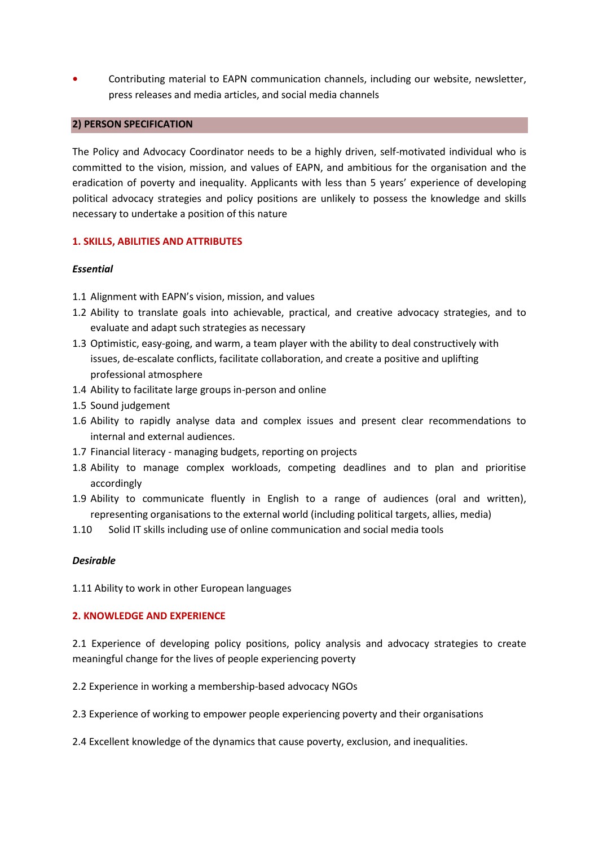**•** Contributing material to EAPN communication channels, including our website, newsletter, press releases and media articles, and social media channels

#### **2) PERSON SPECIFICATION**

The Policy and Advocacy Coordinator needs to be a highly driven, self-motivated individual who is committed to the vision, mission, and values of EAPN, and ambitious for the organisation and the eradication of poverty and inequality. Applicants with less than 5 years' experience of developing political advocacy strategies and policy positions are unlikely to possess the knowledge and skills necessary to undertake a position of this nature

### **1. SKILLS, ABILITIES AND ATTRIBUTES**

#### *Essential*

- 1.1 Alignment with EAPN's vision, mission, and values
- 1.2 Ability to translate goals into achievable, practical, and creative advocacy strategies, and to evaluate and adapt such strategies as necessary
- 1.3 Optimistic, easy-going, and warm, a team player with the ability to deal constructively with issues, de-escalate conflicts, facilitate collaboration, and create a positive and uplifting professional atmosphere
- 1.4 Ability to facilitate large groups in-person and online
- 1.5 Sound judgement
- 1.6 Ability to rapidly analyse data and complex issues and present clear recommendations to internal and external audiences.
- 1.7 Financial literacy managing budgets, reporting on projects
- 1.8 Ability to manage complex workloads, competing deadlines and to plan and prioritise accordingly
- 1.9 Ability to communicate fluently in English to a range of audiences (oral and written), representing organisations to the external world (including political targets, allies, media)
- 1.10 Solid IT skills including use of online communication and social media tools

### *Desirable*

1.11 Ability to work in other European languages

#### **2. KNOWLEDGE AND EXPERIENCE**

2.1 Experience of developing policy positions, policy analysis and advocacy strategies to create meaningful change for the lives of people experiencing poverty

2.2 Experience in working a membership-based advocacy NGOs

- 2.3 Experience of working to empower people experiencing poverty and their organisations
- 2.4 Excellent knowledge of the dynamics that cause poverty, exclusion, and inequalities.